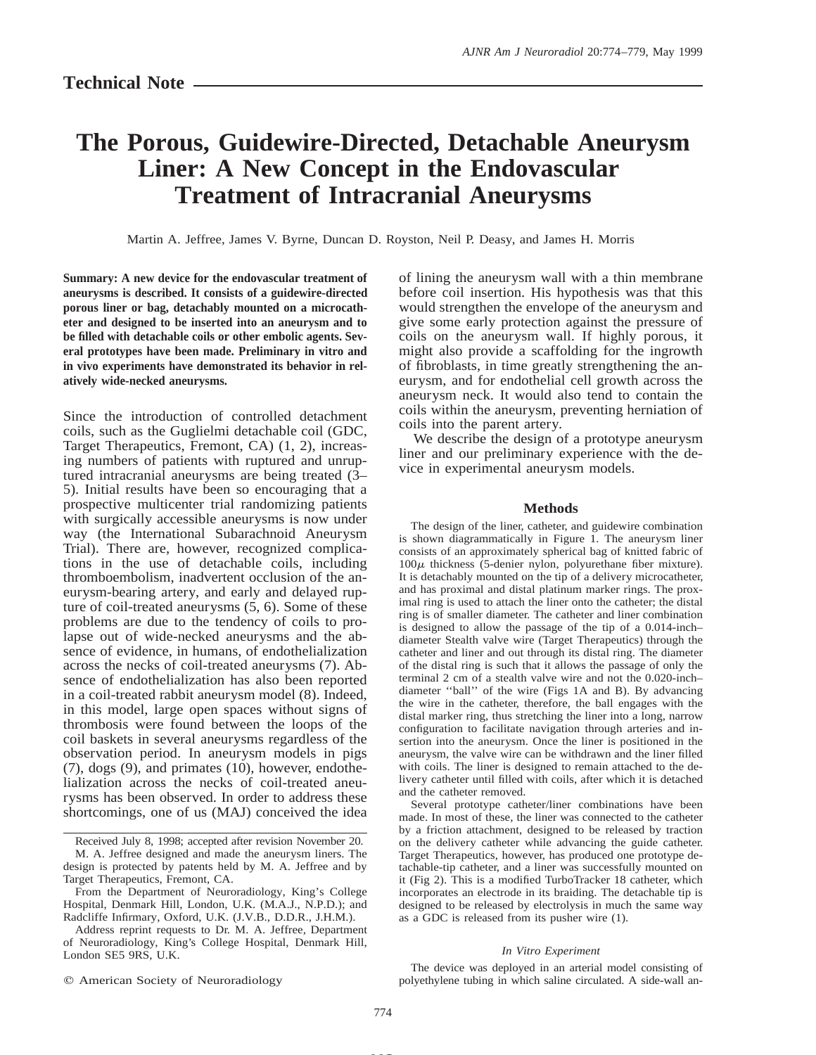# **The Porous, Guidewire-Directed, Detachable Aneurysm Liner: A New Concept in the Endovascular Treatment of Intracranial Aneurysms**

Martin A. Jeffree, James V. Byrne, Duncan D. Royston, Neil P. Deasy, and James H. Morris

**Summary: A new device for the endovascular treatment of aneurysms is described. It consists of a guidewire-directed porous liner or bag, detachably mounted on a microcatheter and designed to be inserted into an aneurysm and to be filled with detachable coils or other embolic agents. Several prototypes have been made. Preliminary in vitro and in vivo experiments have demonstrated its behavior in relatively wide-necked aneurysms.**

Since the introduction of controlled detachment coils, such as the Guglielmi detachable coil (GDC, Target Therapeutics, Fremont, CA) (1, 2), increasing numbers of patients with ruptured and unruptured intracranial aneurysms are being treated (3– 5). Initial results have been so encouraging that a prospective multicenter trial randomizing patients with surgically accessible aneurysms is now under way (the International Subarachnoid Aneurysm Trial). There are, however, recognized complications in the use of detachable coils, including thromboembolism, inadvertent occlusion of the aneurysm-bearing artery, and early and delayed rupture of coil-treated aneurysms (5, 6). Some of these problems are due to the tendency of coils to prolapse out of wide-necked aneurysms and the absence of evidence, in humans, of endothelialization across the necks of coil-treated aneurysms (7). Absence of endothelialization has also been reported in a coil-treated rabbit aneurysm model (8). Indeed, in this model, large open spaces without signs of thrombosis were found between the loops of the coil baskets in several aneurysms regardless of the observation period. In aneurysm models in pigs  $(7)$ , dogs  $(9)$ , and primates  $(10)$ , however, endothelialization across the necks of coil-treated aneurysms has been observed. In order to address these shortcomings, one of us (MAJ) conceived the idea

 $©$  American Society of Neuroradiology

of lining the aneurysm wall with a thin membrane before coil insertion. His hypothesis was that this would strengthen the envelope of the aneurysm and give some early protection against the pressure of coils on the aneurysm wall. If highly porous, it might also provide a scaffolding for the ingrowth of fibroblasts, in time greatly strengthening the aneurysm, and for endothelial cell growth across the aneurysm neck. It would also tend to contain the coils within the aneurysm, preventing herniation of coils into the parent artery.

We describe the design of a prototype aneurysm liner and our preliminary experience with the device in experimental aneurysm models.

#### **Methods**

The design of the liner, catheter, and guidewire combination is shown diagrammatically in Figure 1. The aneurysm liner consists of an approximately spherical bag of knitted fabric of  $100\mu$  thickness (5-denier nylon, polyurethane fiber mixture). It is detachably mounted on the tip of a delivery microcatheter, and has proximal and distal platinum marker rings. The proximal ring is used to attach the liner onto the catheter; the distal ring is of smaller diameter. The catheter and liner combination is designed to allow the passage of the tip of a 0.014-inch– diameter Stealth valve wire (Target Therapeutics) through the catheter and liner and out through its distal ring. The diameter of the distal ring is such that it allows the passage of only the terminal 2 cm of a stealth valve wire and not the 0.020-inch– diameter ''ball'' of the wire (Figs 1A and B). By advancing the wire in the catheter, therefore, the ball engages with the distal marker ring, thus stretching the liner into a long, narrow configuration to facilitate navigation through arteries and insertion into the aneurysm. Once the liner is positioned in the aneurysm, the valve wire can be withdrawn and the liner filled with coils. The liner is designed to remain attached to the delivery catheter until filled with coils, after which it is detached and the catheter removed.

Several prototype catheter/liner combinations have been made. In most of these, the liner was connected to the catheter by a friction attachment, designed to be released by traction on the delivery catheter while advancing the guide catheter. Target Therapeutics, however, has produced one prototype detachable-tip catheter, and a liner was successfully mounted on it (Fig 2). This is a modified TurboTracker 18 catheter, which incorporates an electrode in its braiding. The detachable tip is designed to be released by electrolysis in much the same way as a GDC is released from its pusher wire (1).

#### *In Vitro Experiment*

The device was deployed in an arterial model consisting of polyethylene tubing in which saline circulated. A side-wall an-

**MS**

Received July 8, 1998; accepted after revision November 20. M. A. Jeffree designed and made the aneurysm liners. The design is protected by patents held by M. A. Jeffree and by Target Therapeutics, Fremont, CA.

From the Department of Neuroradiology, King's College Hospital, Denmark Hill, London, U.K. (M.A.J., N.P.D.); and Radcliffe Infirmary, Oxford, U.K. (J.V.B., D.D.R., J.H.M.).

Address reprint requests to Dr. M. A. Jeffree, Department of Neuroradiology, King's College Hospital, Denmark Hill, London SE5 9RS, U.K.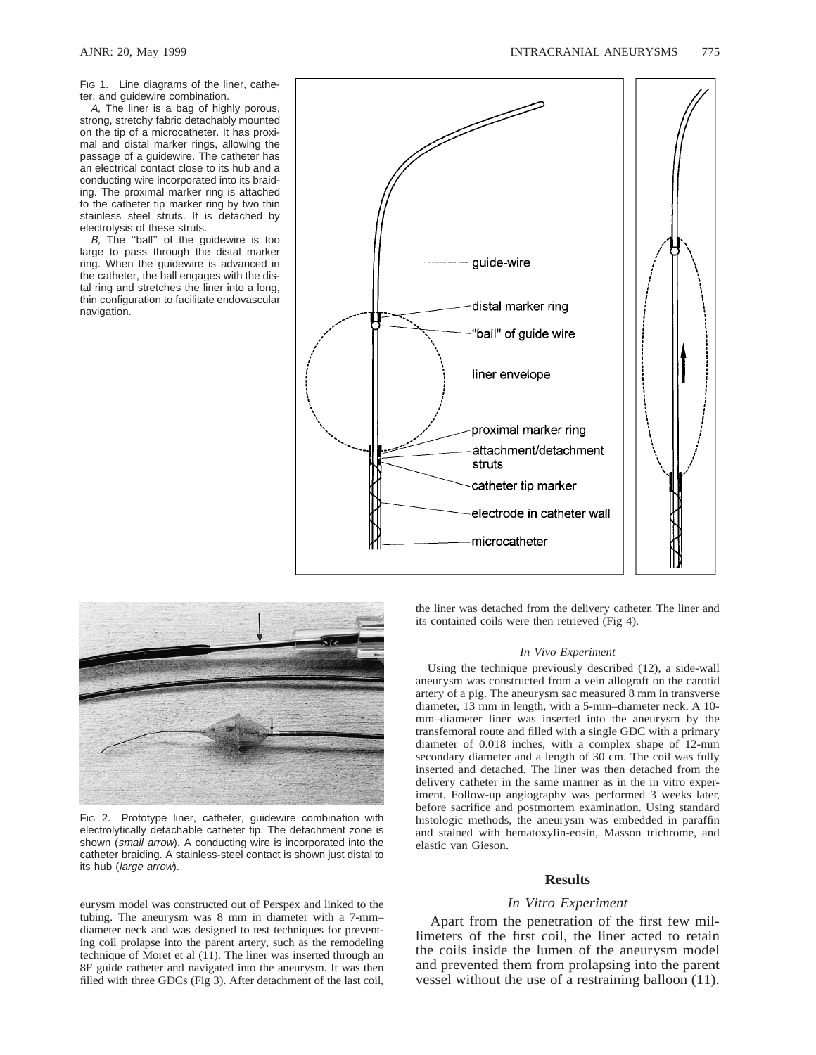FIG 1. Line diagrams of the liner, catheter, and guidewire combination.

A, The liner is a bag of highly porous, strong, stretchy fabric detachably mounted on the tip of a microcatheter. It has proximal and distal marker rings, allowing the passage of a guidewire. The catheter has an electrical contact close to its hub and a conducting wire incorporated into its braiding. The proximal marker ring is attached to the catheter tip marker ring by two thin stainless steel struts. It is detached by electrolysis of these struts.

B, The ''ball'' of the guidewire is too large to pass through the distal marker ring. When the guidewire is advanced in the catheter, the ball engages with the distal ring and stretches the liner into a long, thin configuration to facilitate endovascular navigation.





FIG 2. Prototype liner, catheter, guidewire combination with electrolytically detachable catheter tip. The detachment zone is shown (small arrow). A conducting wire is incorporated into the catheter braiding. A stainless-steel contact is shown just distal to its hub (large arrow).

eurysm model was constructed out of Perspex and linked to the tubing. The aneurysm was 8 mm in diameter with a 7-mm– diameter neck and was designed to test techniques for preventing coil prolapse into the parent artery, such as the remodeling technique of Moret et al (11). The liner was inserted through an 8F guide catheter and navigated into the aneurysm. It was then filled with three GDCs (Fig 3). After detachment of the last coil, the liner was detached from the delivery catheter. The liner and its contained coils were then retrieved (Fig 4).

#### *In Vivo Experiment*

Using the technique previously described (12), a side-wall aneurysm was constructed from a vein allograft on the carotid artery of a pig. The aneurysm sac measured 8 mm in transverse diameter, 13 mm in length, with a 5-mm–diameter neck. A 10 mm–diameter liner was inserted into the aneurysm by the transfemoral route and filled with a single GDC with a primary diameter of 0.018 inches, with a complex shape of 12-mm secondary diameter and a length of 30 cm. The coil was fully inserted and detached. The liner was then detached from the delivery catheter in the same manner as in the in vitro experiment. Follow-up angiography was performed 3 weeks later, before sacrifice and postmortem examination. Using standard histologic methods, the aneurysm was embedded in paraffin and stained with hematoxylin-eosin, Masson trichrome, and elastic van Gieson.

## **Results**

# *In Vitro Experiment*

Apart from the penetration of the first few millimeters of the first coil, the liner acted to retain the coils inside the lumen of the aneurysm model and prevented them from prolapsing into the parent vessel without the use of a restraining balloon (11).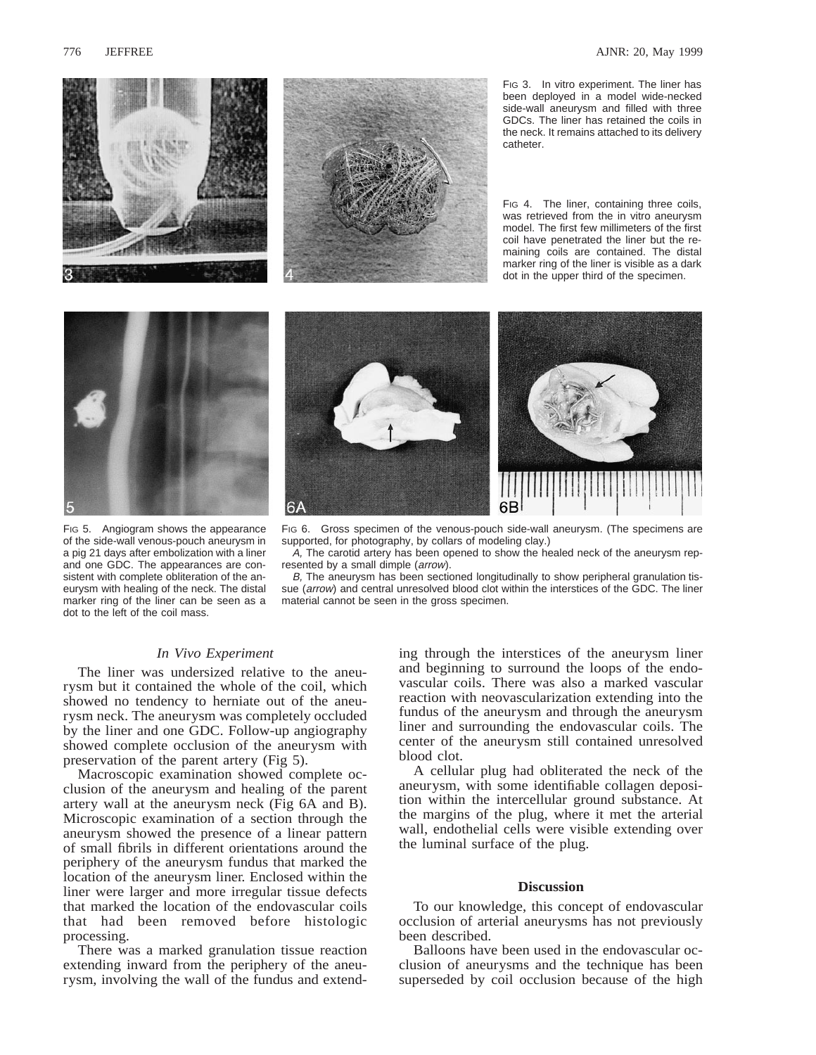



FIG 3. In vitro experiment. The liner has been deployed in a model wide-necked side-wall aneurysm and filled with three GDCs. The liner has retained the coils in the neck. It remains attached to its delivery catheter.

FIG 4. The liner, containing three coils, was retrieved from the in vitro aneurysm model. The first few millimeters of the first coil have penetrated the liner but the remaining coils are contained. The distal marker ring of the liner is visible as a dark dot in the upper third of the specimen.





FIG 5. Angiogram shows the appearance of the side-wall venous-pouch aneurysm in a pig 21 days after embolization with a liner and one GDC. The appearances are consistent with complete obliteration of the aneurysm with healing of the neck. The distal marker ring of the liner can be seen as a dot to the left of the coil mass.

FIG 6. Gross specimen of the venous-pouch side-wall aneurysm. (The specimens are supported, for photography, by collars of modeling clay.)

A, The carotid artery has been opened to show the healed neck of the aneurysm represented by a small dimple (arrow).

B, The aneurysm has been sectioned longitudinally to show peripheral granulation tissue (arrow) and central unresolved blood clot within the interstices of the GDC. The liner material cannot be seen in the gross specimen.

# *In Vivo Experiment*

The liner was undersized relative to the aneurysm but it contained the whole of the coil, which showed no tendency to herniate out of the aneurysm neck. The aneurysm was completely occluded by the liner and one GDC. Follow-up angiography showed complete occlusion of the aneurysm with preservation of the parent artery (Fig 5).

Macroscopic examination showed complete occlusion of the aneurysm and healing of the parent artery wall at the aneurysm neck (Fig 6A and B). Microscopic examination of a section through the aneurysm showed the presence of a linear pattern of small fibrils in different orientations around the periphery of the aneurysm fundus that marked the location of the aneurysm liner. Enclosed within the liner were larger and more irregular tissue defects that marked the location of the endovascular coils that had been removed before histologic processing.

There was a marked granulation tissue reaction extending inward from the periphery of the aneurysm, involving the wall of the fundus and extending through the interstices of the aneurysm liner and beginning to surround the loops of the endovascular coils. There was also a marked vascular reaction with neovascularization extending into the fundus of the aneurysm and through the aneurysm liner and surrounding the endovascular coils. The center of the aneurysm still contained unresolved blood clot.

A cellular plug had obliterated the neck of the aneurysm, with some identifiable collagen deposition within the intercellular ground substance. At the margins of the plug, where it met the arterial wall, endothelial cells were visible extending over the luminal surface of the plug.

# **Discussion**

To our knowledge, this concept of endovascular occlusion of arterial aneurysms has not previously been described.

Balloons have been used in the endovascular occlusion of aneurysms and the technique has been superseded by coil occlusion because of the high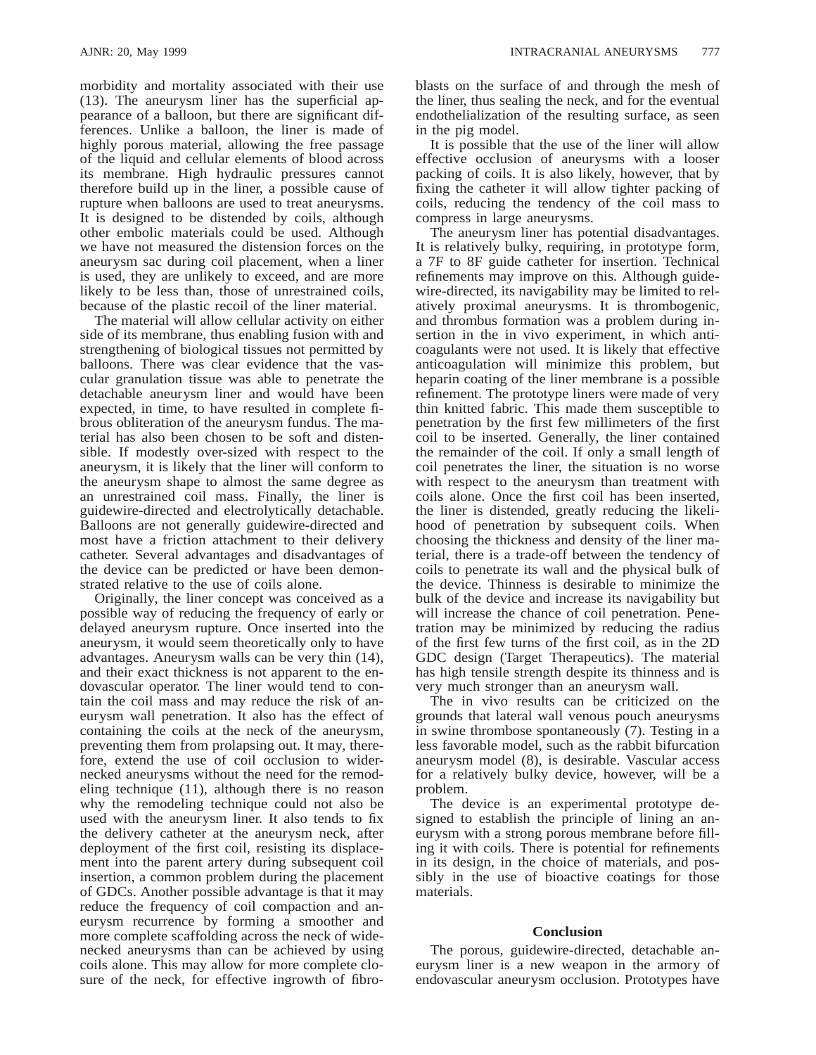morbidity and mortality associated with their use (13). The aneurysm liner has the superficial appearance of a balloon, but there are significant differences. Unlike a balloon, the liner is made of highly porous material, allowing the free passage of the liquid and cellular elements of blood across its membrane. High hydraulic pressures cannot therefore build up in the liner, a possible cause of rupture when balloons are used to treat aneurysms. It is designed to be distended by coils, although other embolic materials could be used. Although we have not measured the distension forces on the aneurysm sac during coil placement, when a liner is used, they are unlikely to exceed, and are more likely to be less than, those of unrestrained coils, because of the plastic recoil of the liner material.

The material will allow cellular activity on either side of its membrane, thus enabling fusion with and strengthening of biological tissues not permitted by balloons. There was clear evidence that the vascular granulation tissue was able to penetrate the detachable aneurysm liner and would have been expected, in time, to have resulted in complete fibrous obliteration of the aneurysm fundus. The material has also been chosen to be soft and distensible. If modestly over-sized with respect to the aneurysm, it is likely that the liner will conform to the aneurysm shape to almost the same degree as an unrestrained coil mass. Finally, the liner is guidewire-directed and electrolytically detachable. Balloons are not generally guidewire-directed and most have a friction attachment to their delivery catheter. Several advantages and disadvantages of the device can be predicted or have been demonstrated relative to the use of coils alone.

Originally, the liner concept was conceived as a possible way of reducing the frequency of early or delayed aneurysm rupture. Once inserted into the aneurysm, it would seem theoretically only to have advantages. Aneurysm walls can be very thin (14), and their exact thickness is not apparent to the endovascular operator. The liner would tend to contain the coil mass and may reduce the risk of aneurysm wall penetration. It also has the effect of containing the coils at the neck of the aneurysm, preventing them from prolapsing out. It may, therefore, extend the use of coil occlusion to widernecked aneurysms without the need for the remodeling technique (11), although there is no reason why the remodeling technique could not also be used with the aneurysm liner. It also tends to fix the delivery catheter at the aneurysm neck, after deployment of the first coil, resisting its displacement into the parent artery during subsequent coil insertion, a common problem during the placement of GDCs. Another possible advantage is that it may reduce the frequency of coil compaction and aneurysm recurrence by forming a smoother and more complete scaffolding across the neck of widenecked aneurysms than can be achieved by using coils alone. This may allow for more complete closure of the neck, for effective ingrowth of fibroblasts on the surface of and through the mesh of the liner, thus sealing the neck, and for the eventual endothelialization of the resulting surface, as seen in the pig model.

It is possible that the use of the liner will allow effective occlusion of aneurysms with a looser packing of coils. It is also likely, however, that by fixing the catheter it will allow tighter packing of coils, reducing the tendency of the coil mass to compress in large aneurysms.

The aneurysm liner has potential disadvantages. It is relatively bulky, requiring, in prototype form, a 7F to 8F guide catheter for insertion. Technical refinements may improve on this. Although guidewire-directed, its navigability may be limited to relatively proximal aneurysms. It is thrombogenic, and thrombus formation was a problem during insertion in the in vivo experiment, in which anticoagulants were not used. It is likely that effective anticoagulation will minimize this problem, but heparin coating of the liner membrane is a possible refinement. The prototype liners were made of very thin knitted fabric. This made them susceptible to penetration by the first few millimeters of the first coil to be inserted. Generally, the liner contained the remainder of the coil. If only a small length of coil penetrates the liner, the situation is no worse with respect to the aneurysm than treatment with coils alone. Once the first coil has been inserted, the liner is distended, greatly reducing the likelihood of penetration by subsequent coils. When choosing the thickness and density of the liner material, there is a trade-off between the tendency of coils to penetrate its wall and the physical bulk of the device. Thinness is desirable to minimize the bulk of the device and increase its navigability but will increase the chance of coil penetration. Penetration may be minimized by reducing the radius of the first few turns of the first coil, as in the 2D GDC design (Target Therapeutics). The material has high tensile strength despite its thinness and is very much stronger than an aneurysm wall.

The in vivo results can be criticized on the grounds that lateral wall venous pouch aneurysms in swine thrombose spontaneously (7). Testing in a less favorable model, such as the rabbit bifurcation aneurysm model (8), is desirable. Vascular access for a relatively bulky device, however, will be a problem.

The device is an experimental prototype designed to establish the principle of lining an aneurysm with a strong porous membrane before filling it with coils. There is potential for refinements in its design, in the choice of materials, and possibly in the use of bioactive coatings for those materials.

# **Conclusion**

The porous, guidewire-directed, detachable aneurysm liner is a new weapon in the armory of endovascular aneurysm occlusion. Prototypes have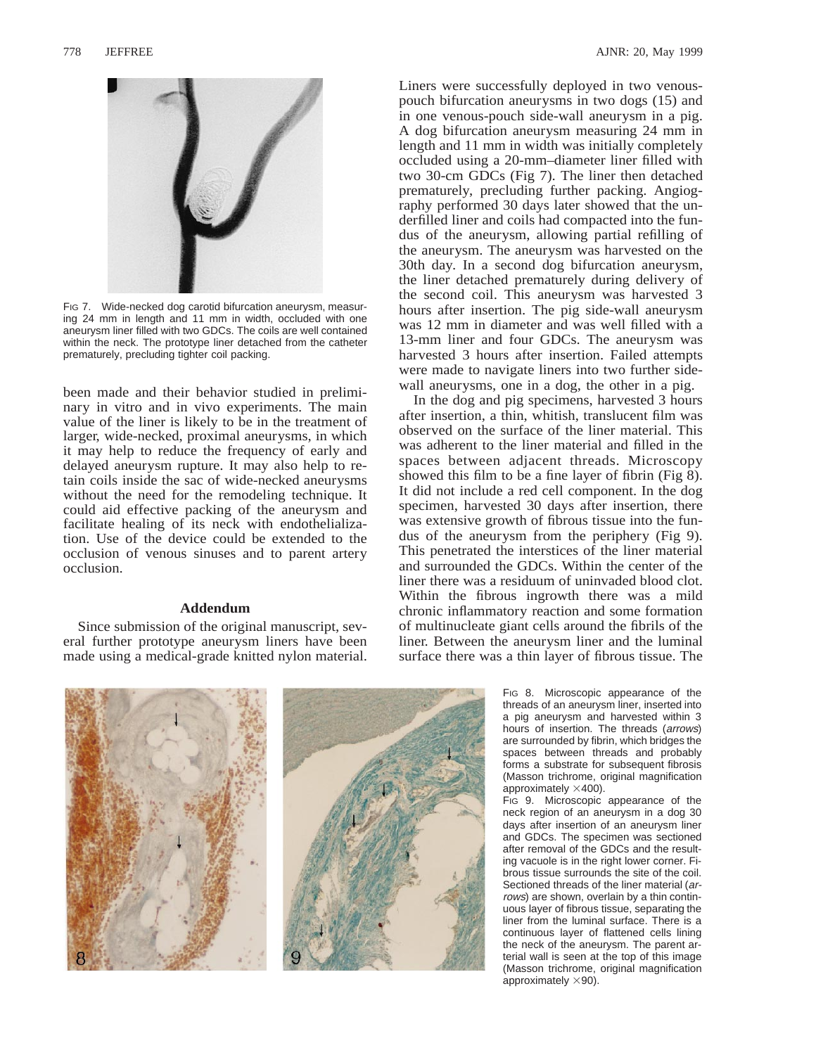

FIG 7. Wide-necked dog carotid bifurcation aneurysm, measuring 24 mm in length and 11 mm in width, occluded with one aneurysm liner filled with two GDCs. The coils are well contained within the neck. The prototype liner detached from the catheter prematurely, precluding tighter coil packing.

been made and their behavior studied in preliminary in vitro and in vivo experiments. The main value of the liner is likely to be in the treatment of larger, wide-necked, proximal aneurysms, in which it may help to reduce the frequency of early and delayed aneurysm rupture. It may also help to retain coils inside the sac of wide-necked aneurysms without the need for the remodeling technique. It could aid effective packing of the aneurysm and facilitate healing of its neck with endothelialization. Use of the device could be extended to the occlusion of venous sinuses and to parent artery occlusion.

## **Addendum**

Since submission of the original manuscript, several further prototype aneurysm liners have been made using a medical-grade knitted nylon material. Liners were successfully deployed in two venouspouch bifurcation aneurysms in two dogs (15) and in one venous-pouch side-wall aneurysm in a pig. A dog bifurcation aneurysm measuring 24 mm in length and 11 mm in width was initially completely occluded using a 20-mm–diameter liner filled with two 30-cm GDCs (Fig 7). The liner then detached prematurely, precluding further packing. Angiography performed 30 days later showed that the underfilled liner and coils had compacted into the fundus of the aneurysm, allowing partial refilling of the aneurysm. The aneurysm was harvested on the 30th day. In a second dog bifurcation aneurysm, the liner detached prematurely during delivery of the second coil. This aneurysm was harvested 3 hours after insertion. The pig side-wall aneurysm was 12 mm in diameter and was well filled with a 13-mm liner and four GDCs. The aneurysm was harvested 3 hours after insertion. Failed attempts were made to navigate liners into two further sidewall aneurysms, one in a dog, the other in a pig.

In the dog and pig specimens, harvested 3 hours after insertion, a thin, whitish, translucent film was observed on the surface of the liner material. This was adherent to the liner material and filled in the spaces between adjacent threads. Microscopy showed this film to be a fine layer of fibrin (Fig 8). It did not include a red cell component. In the dog specimen, harvested 30 days after insertion, there was extensive growth of fibrous tissue into the fundus of the aneurysm from the periphery (Fig 9). This penetrated the interstices of the liner material and surrounded the GDCs. Within the center of the liner there was a residuum of uninvaded blood clot. Within the fibrous ingrowth there was a mild chronic inflammatory reaction and some formation of multinucleate giant cells around the fibrils of the liner. Between the aneurysm liner and the luminal surface there was a thin layer of fibrous tissue. The



FIG 8. Microscopic appearance of the threads of an aneurysm liner, inserted into a pig aneurysm and harvested within 3 hours of insertion. The threads (arrows) are surrounded by fibrin, which bridges the spaces between threads and probably forms a substrate for subsequent fibrosis (Masson trichrome, original magnification approximately  $\times$ 400).

FIG 9. Microscopic appearance of the neck region of an aneurysm in a dog 30 days after insertion of an aneurysm liner and GDCs. The specimen was sectioned after removal of the GDCs and the resulting vacuole is in the right lower corner. Fibrous tissue surrounds the site of the coil. Sectioned threads of the liner material (arrows) are shown, overlain by a thin continuous layer of fibrous tissue, separating the liner from the luminal surface. There is a continuous layer of flattened cells lining the neck of the aneurysm. The parent arterial wall is seen at the top of this image (Masson trichrome, original magnification approximately  $\times$ 90).